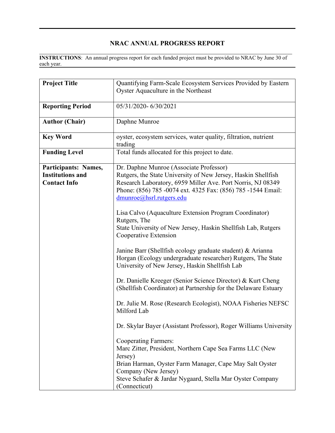## **NRAC ANNUAL PROGRESS REPORT**

 $\mathcal{L}_\mathcal{L} = \mathcal{L}_\mathcal{L} = \mathcal{L}_\mathcal{L} = \mathcal{L}_\mathcal{L} = \mathcal{L}_\mathcal{L} = \mathcal{L}_\mathcal{L} = \mathcal{L}_\mathcal{L} = \mathcal{L}_\mathcal{L} = \mathcal{L}_\mathcal{L} = \mathcal{L}_\mathcal{L} = \mathcal{L}_\mathcal{L} = \mathcal{L}_\mathcal{L} = \mathcal{L}_\mathcal{L} = \mathcal{L}_\mathcal{L} = \mathcal{L}_\mathcal{L} = \mathcal{L}_\mathcal{L} = \mathcal{L}_\mathcal{L}$ **INSTRUCTIONS**: An annual progress report for each funded project must be provided to NRAC by June 30 of each year.

| <b>Project Title</b>                                                   | Quantifying Farm-Scale Ecosystem Services Provided by Eastern<br>Oyster Aquaculture in the Northeast                                                                                                                                                                |  |  |  |  |
|------------------------------------------------------------------------|---------------------------------------------------------------------------------------------------------------------------------------------------------------------------------------------------------------------------------------------------------------------|--|--|--|--|
| <b>Reporting Period</b>                                                | 05/31/2020-6/30/2021                                                                                                                                                                                                                                                |  |  |  |  |
| <b>Author (Chair)</b>                                                  | Daphne Munroe                                                                                                                                                                                                                                                       |  |  |  |  |
| <b>Key Word</b>                                                        | oyster, ecosystem services, water quality, filtration, nutrient<br>trading                                                                                                                                                                                          |  |  |  |  |
| <b>Funding Level</b>                                                   | Total funds allocated for this project to date.                                                                                                                                                                                                                     |  |  |  |  |
| Participants: Names,<br><b>Institutions and</b><br><b>Contact Info</b> | Dr. Daphne Munroe (Associate Professor)<br>Rutgers, the State University of New Jersey, Haskin Shellfish<br>Research Laboratory, 6959 Miller Ave. Port Norris, NJ 08349<br>Phone: (856) 785 -0074 ext. 4325 Fax: (856) 785 -1544 Email:<br>dmunroe@hsrl.rutgers.edu |  |  |  |  |
|                                                                        | Lisa Calvo (Aquaculture Extension Program Coordinator)<br>Rutgers, The<br>State University of New Jersey, Haskin Shellfish Lab, Rutgers<br>Cooperative Extension                                                                                                    |  |  |  |  |
|                                                                        | Janine Barr (Shellfish ecology graduate student) & Arianna<br>Horgan (Ecology undergraduate researcher) Rutgers, The State<br>University of New Jersey, Haskin Shellfish Lab                                                                                        |  |  |  |  |
|                                                                        | Dr. Danielle Kreeger (Senior Science Director) & Kurt Cheng<br>(Shellfish Coordinator) at Partnership for the Delaware Estuary                                                                                                                                      |  |  |  |  |
|                                                                        | Dr. Julie M. Rose (Research Ecologist), NOAA Fisheries NEFSC<br>Milford Lab                                                                                                                                                                                         |  |  |  |  |
|                                                                        | Dr. Skylar Bayer (Assistant Professor), Roger Williams University                                                                                                                                                                                                   |  |  |  |  |
|                                                                        | <b>Cooperating Farmers:</b><br>Marc Zitter, President, Northern Cape Sea Farms LLC (New<br>Jersey)<br>Brian Harman, Oyster Farm Manager, Cape May Salt Oyster<br>Company (New Jersey)<br>Steve Schafer & Jardar Nygaard, Stella Mar Oyster Company<br>(Connecticut) |  |  |  |  |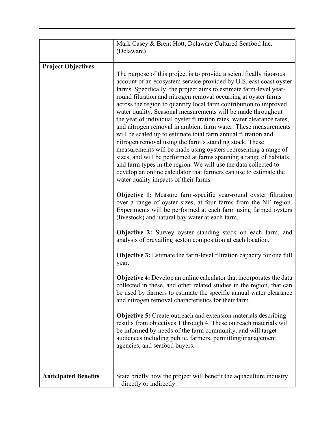|                             | Mark Casey & Brent Hott, Delaware Cultured Seafood Inc.<br>(Delaware)                                                                                                                                                                                                                                                                                                                                                                                                                                                                                                                                                                                                                                                                                                                                                                                                                                                                                                                                                                                                                                                                                                                                                                                                                                                                                                                                                                                                                                                                                                                                                                                                                                                                                                                                                                                                                                                                                                                                                                                                                   |  |  |  |
|-----------------------------|-----------------------------------------------------------------------------------------------------------------------------------------------------------------------------------------------------------------------------------------------------------------------------------------------------------------------------------------------------------------------------------------------------------------------------------------------------------------------------------------------------------------------------------------------------------------------------------------------------------------------------------------------------------------------------------------------------------------------------------------------------------------------------------------------------------------------------------------------------------------------------------------------------------------------------------------------------------------------------------------------------------------------------------------------------------------------------------------------------------------------------------------------------------------------------------------------------------------------------------------------------------------------------------------------------------------------------------------------------------------------------------------------------------------------------------------------------------------------------------------------------------------------------------------------------------------------------------------------------------------------------------------------------------------------------------------------------------------------------------------------------------------------------------------------------------------------------------------------------------------------------------------------------------------------------------------------------------------------------------------------------------------------------------------------------------------------------------------|--|--|--|
|                             |                                                                                                                                                                                                                                                                                                                                                                                                                                                                                                                                                                                                                                                                                                                                                                                                                                                                                                                                                                                                                                                                                                                                                                                                                                                                                                                                                                                                                                                                                                                                                                                                                                                                                                                                                                                                                                                                                                                                                                                                                                                                                         |  |  |  |
| <b>Project Objectives</b>   | The purpose of this project is to provide a scientifically rigorous<br>account of an ecosystem service provided by U.S. east coast oyster<br>farms. Specifically, the project aims to estimate farm-level year-<br>round filtration and nitrogen removal occurring at oyster farms<br>across the region to quantify local farm contribution to improved<br>water quality. Seasonal measurements will be made throughout<br>the year of individual oyster filtration rates, water clearance rates,<br>and nitrogen removal in ambient farm water. These measurements<br>will be scaled up to estimate total farm annual filtration and<br>nitrogen removal using the farm's standing stock. These<br>measurements will be made using oysters representing a range of<br>sizes, and will be performed at farms spanning a range of habitats<br>and farm types in the region. We will use the data collected to<br>develop an online calculator that farmers can use to estimate the<br>water quality impacts of their farms.<br><b>Objective 1:</b> Measure farm-specific year-round oyster filtration<br>over a range of oyster sizes, at four farms from the NE region.<br>Experiments will be performed at each farm using farmed oysters<br>(livestock) and natural bay water at each farm.<br>Objective 2: Survey oyster standing stock on each farm, and<br>analysis of prevailing seston composition at each location.<br><b>Objective 3:</b> Estimate the farm-level filtration capacity for one full<br>year.<br><b>Objective 4:</b> Develop an online calculator that incorporates the data<br>collected in these, and other related studies in the region, that can<br>be used by farmers to estimate the specific annual water clearance<br>and nitrogen removal characteristics for their farm.<br><b>Objective 5:</b> Create outreach and extension materials describing<br>results from objectives 1 through 4. These outreach materials will<br>be informed by needs of the farm community, and will target<br>audiences including public, farmers, permitting/management |  |  |  |
|                             | agencies, and seafood buyers.                                                                                                                                                                                                                                                                                                                                                                                                                                                                                                                                                                                                                                                                                                                                                                                                                                                                                                                                                                                                                                                                                                                                                                                                                                                                                                                                                                                                                                                                                                                                                                                                                                                                                                                                                                                                                                                                                                                                                                                                                                                           |  |  |  |
|                             |                                                                                                                                                                                                                                                                                                                                                                                                                                                                                                                                                                                                                                                                                                                                                                                                                                                                                                                                                                                                                                                                                                                                                                                                                                                                                                                                                                                                                                                                                                                                                                                                                                                                                                                                                                                                                                                                                                                                                                                                                                                                                         |  |  |  |
| <b>Anticipated Benefits</b> | State briefly how the project will benefit the aquaculture industry<br>- directly or indirectly.                                                                                                                                                                                                                                                                                                                                                                                                                                                                                                                                                                                                                                                                                                                                                                                                                                                                                                                                                                                                                                                                                                                                                                                                                                                                                                                                                                                                                                                                                                                                                                                                                                                                                                                                                                                                                                                                                                                                                                                        |  |  |  |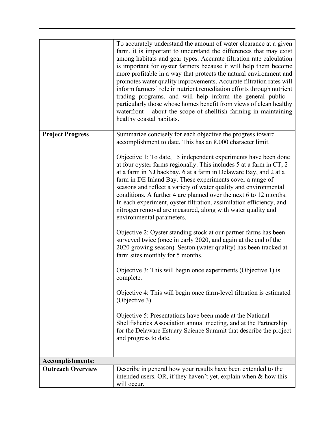|                          | To accurately understand the amount of water clearance at a given<br>farm, it is important to understand the differences that may exist<br>among habitats and gear types. Accurate filtration rate calculation<br>is important for oyster farmers because it will help them become<br>more profitable in a way that protects the natural environment and<br>promotes water quality improvements. Accurate filtration rates will<br>inform farmers' role in nutrient remediation efforts through nutrient<br>trading programs, and will help inform the general public -<br>particularly those whose homes benefit from views of clean healthy<br>waterfront $-$ about the scope of shell fish farming in maintaining<br>healthy coastal habitats. |  |  |  |  |
|--------------------------|---------------------------------------------------------------------------------------------------------------------------------------------------------------------------------------------------------------------------------------------------------------------------------------------------------------------------------------------------------------------------------------------------------------------------------------------------------------------------------------------------------------------------------------------------------------------------------------------------------------------------------------------------------------------------------------------------------------------------------------------------|--|--|--|--|
| <b>Project Progress</b>  | Summarize concisely for each objective the progress toward                                                                                                                                                                                                                                                                                                                                                                                                                                                                                                                                                                                                                                                                                        |  |  |  |  |
|                          | accomplishment to date. This has an 8,000 character limit.                                                                                                                                                                                                                                                                                                                                                                                                                                                                                                                                                                                                                                                                                        |  |  |  |  |
|                          | Objective 1: To date, 15 independent experiments have been done<br>at four oyster farms regionally. This includes 5 at a farm in CT, 2<br>at a farm in NJ backbay, 6 at a farm in Delaware Bay, and 2 at a<br>farm in DE Inland Bay. These experiments cover a range of<br>seasons and reflect a variety of water quality and environmental<br>conditions. A further 4 are planned over the next 6 to 12 months.<br>In each experiment, oyster filtration, assimilation efficiency, and<br>nitrogen removal are measured, along with water quality and<br>environmental parameters.                                                                                                                                                               |  |  |  |  |
|                          | Objective 2: Oyster standing stock at our partner farms has been<br>surveyed twice (once in early 2020, and again at the end of the<br>2020 growing season). Seston (water quality) has been tracked at<br>farm sites monthly for 5 months.                                                                                                                                                                                                                                                                                                                                                                                                                                                                                                       |  |  |  |  |
|                          | Objective 3: This will begin once experiments (Objective 1) is<br>complete.                                                                                                                                                                                                                                                                                                                                                                                                                                                                                                                                                                                                                                                                       |  |  |  |  |
|                          | Objective 4: This will begin once farm-level filtration is estimated<br>(Objective 3).                                                                                                                                                                                                                                                                                                                                                                                                                                                                                                                                                                                                                                                            |  |  |  |  |
|                          | Objective 5: Presentations have been made at the National<br>Shellfisheries Association annual meeting, and at the Partnership<br>for the Delaware Estuary Science Summit that describe the project<br>and progress to date.                                                                                                                                                                                                                                                                                                                                                                                                                                                                                                                      |  |  |  |  |
| <b>Accomplishments:</b>  |                                                                                                                                                                                                                                                                                                                                                                                                                                                                                                                                                                                                                                                                                                                                                   |  |  |  |  |
| <b>Outreach Overview</b> | Describe in general how your results have been extended to the                                                                                                                                                                                                                                                                                                                                                                                                                                                                                                                                                                                                                                                                                    |  |  |  |  |
|                          | intended users. OR, if they haven't yet, explain when $\&$ how this<br>will occur.                                                                                                                                                                                                                                                                                                                                                                                                                                                                                                                                                                                                                                                                |  |  |  |  |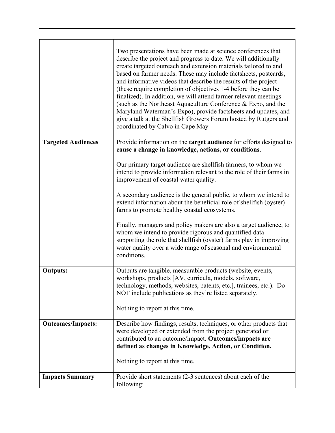|                           | Two presentations have been made at science conferences that<br>describe the project and progress to date. We will additionally<br>create targeted outreach and extension materials tailored to and<br>based on farmer needs. These may include factsheets, postcards,<br>and informative videos that describe the results of the project<br>(these require completion of objectives 1-4 before they can be<br>finalized). In addition, we will attend farmer relevant meetings<br>(such as the Northeast Aquaculture Conference & Expo, and the<br>Maryland Waterman's Expo), provide factsheets and updates, and<br>give a talk at the Shellfish Growers Forum hosted by Rutgers and<br>coordinated by Calvo in Cape May |  |  |  |
|---------------------------|----------------------------------------------------------------------------------------------------------------------------------------------------------------------------------------------------------------------------------------------------------------------------------------------------------------------------------------------------------------------------------------------------------------------------------------------------------------------------------------------------------------------------------------------------------------------------------------------------------------------------------------------------------------------------------------------------------------------------|--|--|--|
| <b>Targeted Audiences</b> | Provide information on the target audience for efforts designed to<br>cause a change in knowledge, actions, or conditions.                                                                                                                                                                                                                                                                                                                                                                                                                                                                                                                                                                                                 |  |  |  |
|                           | Our primary target audience are shellfish farmers, to whom we<br>intend to provide information relevant to the role of their farms in<br>improvement of coastal water quality.                                                                                                                                                                                                                                                                                                                                                                                                                                                                                                                                             |  |  |  |
|                           | A secondary audience is the general public, to whom we intend to<br>extend information about the beneficial role of shellfish (oyster)<br>farms to promote healthy coastal ecosystems.                                                                                                                                                                                                                                                                                                                                                                                                                                                                                                                                     |  |  |  |
|                           | Finally, managers and policy makers are also a target audience, to<br>whom we intend to provide rigorous and quantified data<br>supporting the role that shellfish (oyster) farms play in improving<br>water quality over a wide range of seasonal and environmental<br>conditions.                                                                                                                                                                                                                                                                                                                                                                                                                                        |  |  |  |
| <b>Outputs:</b>           | Outputs are tangible, measurable products (website, events,<br>workshops, products [AV, curricula, models, software,<br>technology, methods, websites, patents, etc.], trainees, etc.). Do<br>NOT include publications as they're listed separately.                                                                                                                                                                                                                                                                                                                                                                                                                                                                       |  |  |  |
|                           | Nothing to report at this time.                                                                                                                                                                                                                                                                                                                                                                                                                                                                                                                                                                                                                                                                                            |  |  |  |
| <b>Outcomes/Impacts:</b>  | Describe how findings, results, techniques, or other products that<br>were developed or extended from the project generated or<br>contributed to an outcome/impact. Outcomes/impacts are<br>defined as changes in Knowledge, Action, or Condition.                                                                                                                                                                                                                                                                                                                                                                                                                                                                         |  |  |  |
|                           | Nothing to report at this time.                                                                                                                                                                                                                                                                                                                                                                                                                                                                                                                                                                                                                                                                                            |  |  |  |
| <b>Impacts Summary</b>    | Provide short statements (2-3 sentences) about each of the<br>following:                                                                                                                                                                                                                                                                                                                                                                                                                                                                                                                                                                                                                                                   |  |  |  |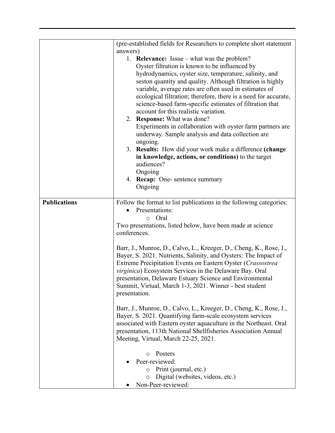|                     | (pre-established fields for Researchers to complete short statement                                                                                                                                                                                           |  |  |  |  |
|---------------------|---------------------------------------------------------------------------------------------------------------------------------------------------------------------------------------------------------------------------------------------------------------|--|--|--|--|
|                     | answers)                                                                                                                                                                                                                                                      |  |  |  |  |
|                     | 1. <b>Relevance:</b> Issue – what was the problem?                                                                                                                                                                                                            |  |  |  |  |
|                     | Oyster filtration is known to be influenced by                                                                                                                                                                                                                |  |  |  |  |
|                     | hydrodynamics, oyster size, temperature, salinity, and                                                                                                                                                                                                        |  |  |  |  |
|                     | seston quantity and quality. Although filtration is highly                                                                                                                                                                                                    |  |  |  |  |
|                     | variable, average rates are often used in estimates of<br>ecological filtration; therefore, there is a need for accurate,<br>science-based farm-specific estimates of filtration that<br>account for this realistic variation.<br>2. Response: What was done? |  |  |  |  |
|                     |                                                                                                                                                                                                                                                               |  |  |  |  |
|                     |                                                                                                                                                                                                                                                               |  |  |  |  |
|                     |                                                                                                                                                                                                                                                               |  |  |  |  |
|                     |                                                                                                                                                                                                                                                               |  |  |  |  |
|                     | Experiments in collaboration with oyster farm partners are                                                                                                                                                                                                    |  |  |  |  |
|                     | underway. Sample analysis and data collection are                                                                                                                                                                                                             |  |  |  |  |
|                     | ongoing.                                                                                                                                                                                                                                                      |  |  |  |  |
|                     | 3. Results: How did your work make a difference (change                                                                                                                                                                                                       |  |  |  |  |
|                     |                                                                                                                                                                                                                                                               |  |  |  |  |
|                     | in knowledge, actions, or conditions) to the target                                                                                                                                                                                                           |  |  |  |  |
|                     | audiences?                                                                                                                                                                                                                                                    |  |  |  |  |
|                     | Ongoing                                                                                                                                                                                                                                                       |  |  |  |  |
|                     | 4. Recap: One- sentence summary<br>Ongoing                                                                                                                                                                                                                    |  |  |  |  |
|                     |                                                                                                                                                                                                                                                               |  |  |  |  |
| <b>Publications</b> | Follow the format to list publications in the following categories:                                                                                                                                                                                           |  |  |  |  |
|                     | Presentations:                                                                                                                                                                                                                                                |  |  |  |  |
|                     |                                                                                                                                                                                                                                                               |  |  |  |  |
|                     | o Oral                                                                                                                                                                                                                                                        |  |  |  |  |
|                     | Two presentations, listed below, have been made at science                                                                                                                                                                                                    |  |  |  |  |
|                     | conferences.                                                                                                                                                                                                                                                  |  |  |  |  |
|                     |                                                                                                                                                                                                                                                               |  |  |  |  |
|                     | Barr, J., Munroe, D., Calvo, L., Kreeger, D., Cheng, K., Rose, J.,                                                                                                                                                                                            |  |  |  |  |
|                     | Bayer, S. 2021. Nutrients, Salinity, and Oysters: The Impact of                                                                                                                                                                                               |  |  |  |  |
|                     | Extreme Precipitation Events on Eastern Oyster (Crassostrea                                                                                                                                                                                                   |  |  |  |  |
|                     | virginica) Ecosystem Services in the Delaware Bay. Oral                                                                                                                                                                                                       |  |  |  |  |
|                     | presentation, Delaware Estuary Science and Environmental                                                                                                                                                                                                      |  |  |  |  |
|                     | Summit, Virtual, March 1-3, 2021. Winner - best student<br>presentation.                                                                                                                                                                                      |  |  |  |  |
|                     |                                                                                                                                                                                                                                                               |  |  |  |  |
|                     |                                                                                                                                                                                                                                                               |  |  |  |  |
|                     | Barr, J., Munroe, D., Calvo, L., Kreeger, D., Cheng, K., Rose, J.,                                                                                                                                                                                            |  |  |  |  |
|                     | Bayer, S. 2021. Quantifying farm-scale ecosystem services                                                                                                                                                                                                     |  |  |  |  |
|                     | associated with Eastern oyster aquaculture in the Northeast. Oral                                                                                                                                                                                             |  |  |  |  |
|                     | presentation, 113th National Shellfisheries Association Annual<br>Meeting, Virtual, March 22-25, 2021.                                                                                                                                                        |  |  |  |  |
|                     |                                                                                                                                                                                                                                                               |  |  |  |  |
|                     | Posters<br>$\circ$                                                                                                                                                                                                                                            |  |  |  |  |
|                     | Peer-reviewed:                                                                                                                                                                                                                                                |  |  |  |  |
|                     | Print (journal, etc.)<br>$\circ$                                                                                                                                                                                                                              |  |  |  |  |
|                     |                                                                                                                                                                                                                                                               |  |  |  |  |
|                     | Digital (websites, videos, etc.)<br>$\circ$<br>Non-Peer-reviewed:                                                                                                                                                                                             |  |  |  |  |
|                     |                                                                                                                                                                                                                                                               |  |  |  |  |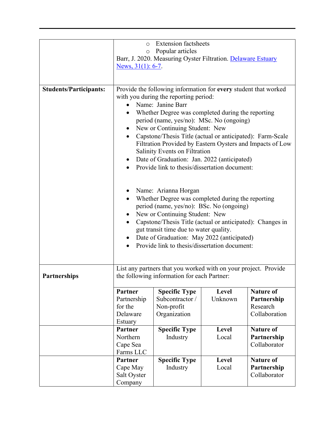|                               | <b>Extension factsheets</b><br>$\circ$                                                                                                                                                                                                                                                                                                                                                                                                                                     |                                                                 |         |                  |  |
|-------------------------------|----------------------------------------------------------------------------------------------------------------------------------------------------------------------------------------------------------------------------------------------------------------------------------------------------------------------------------------------------------------------------------------------------------------------------------------------------------------------------|-----------------------------------------------------------------|---------|------------------|--|
|                               | Popular articles<br>$\circ$<br>Barr, J. 2020. Measuring Oyster Filtration. Delaware Estuary                                                                                                                                                                                                                                                                                                                                                                                |                                                                 |         |                  |  |
|                               |                                                                                                                                                                                                                                                                                                                                                                                                                                                                            |                                                                 |         |                  |  |
|                               | News, $31(1)$ : 6-7.                                                                                                                                                                                                                                                                                                                                                                                                                                                       |                                                                 |         |                  |  |
|                               |                                                                                                                                                                                                                                                                                                                                                                                                                                                                            |                                                                 |         |                  |  |
| <b>Students/Participants:</b> | Provide the following information for every student that worked<br>with you during the reporting period:<br>Name: Janine Barr<br>Whether Degree was completed during the reporting<br>period (name, yes/no): MSc. No (ongoing)<br>New or Continuing Student: New<br>Capstone/Thesis Title (actual or anticipated): Farm-Scale<br>Filtration Provided by Eastern Oysters and Impacts of Low<br>Salinity Events on Filtration<br>Date of Graduation: Jan. 2022 (anticipated) |                                                                 |         |                  |  |
|                               |                                                                                                                                                                                                                                                                                                                                                                                                                                                                            | Provide link to thesis/dissertation document:                   |         |                  |  |
|                               |                                                                                                                                                                                                                                                                                                                                                                                                                                                                            |                                                                 |         |                  |  |
|                               |                                                                                                                                                                                                                                                                                                                                                                                                                                                                            |                                                                 |         |                  |  |
|                               | Name: Arianna Horgan                                                                                                                                                                                                                                                                                                                                                                                                                                                       |                                                                 |         |                  |  |
|                               | Whether Degree was completed during the reporting<br>period (name, yes/no): BSc. No (ongoing)                                                                                                                                                                                                                                                                                                                                                                              |                                                                 |         |                  |  |
|                               | New or Continuing Student: New                                                                                                                                                                                                                                                                                                                                                                                                                                             |                                                                 |         |                  |  |
|                               | Capstone/Thesis Title (actual or anticipated): Changes in                                                                                                                                                                                                                                                                                                                                                                                                                  |                                                                 |         |                  |  |
|                               | gut transit time due to water quality.                                                                                                                                                                                                                                                                                                                                                                                                                                     |                                                                 |         |                  |  |
|                               | Date of Graduation: May 2022 (anticipated)                                                                                                                                                                                                                                                                                                                                                                                                                                 |                                                                 |         |                  |  |
|                               | Provide link to thesis/dissertation document:                                                                                                                                                                                                                                                                                                                                                                                                                              |                                                                 |         |                  |  |
|                               |                                                                                                                                                                                                                                                                                                                                                                                                                                                                            |                                                                 |         |                  |  |
|                               |                                                                                                                                                                                                                                                                                                                                                                                                                                                                            |                                                                 |         |                  |  |
|                               |                                                                                                                                                                                                                                                                                                                                                                                                                                                                            | List any partners that you worked with on your project. Provide |         |                  |  |
| <b>Partnerships</b>           |                                                                                                                                                                                                                                                                                                                                                                                                                                                                            | the following information for each Partner:                     |         |                  |  |
|                               | Partner                                                                                                                                                                                                                                                                                                                                                                                                                                                                    | <b>Specific Type</b>                                            | Level   | <b>Nature of</b> |  |
|                               | Partnership                                                                                                                                                                                                                                                                                                                                                                                                                                                                | Subcontractor /                                                 | Unknown | Partnership      |  |
|                               | for the                                                                                                                                                                                                                                                                                                                                                                                                                                                                    | Non-profit                                                      |         | Research         |  |
|                               | Delaware                                                                                                                                                                                                                                                                                                                                                                                                                                                                   | Organization                                                    |         | Collaboration    |  |
|                               | Estuary                                                                                                                                                                                                                                                                                                                                                                                                                                                                    |                                                                 |         |                  |  |
|                               | Partner                                                                                                                                                                                                                                                                                                                                                                                                                                                                    | <b>Specific Type</b>                                            | Level   | <b>Nature of</b> |  |
|                               | Northern                                                                                                                                                                                                                                                                                                                                                                                                                                                                   | Industry                                                        | Local   | Partnership      |  |
|                               | Cape Sea                                                                                                                                                                                                                                                                                                                                                                                                                                                                   |                                                                 |         | Collaborator     |  |
|                               | Farms LLC                                                                                                                                                                                                                                                                                                                                                                                                                                                                  |                                                                 |         |                  |  |
|                               | Partner                                                                                                                                                                                                                                                                                                                                                                                                                                                                    | <b>Specific Type</b>                                            | Level   | <b>Nature of</b> |  |
|                               | Cape May                                                                                                                                                                                                                                                                                                                                                                                                                                                                   | Industry                                                        | Local   | Partnership      |  |
|                               | Salt Oyster                                                                                                                                                                                                                                                                                                                                                                                                                                                                |                                                                 |         | Collaborator     |  |
|                               | Company                                                                                                                                                                                                                                                                                                                                                                                                                                                                    |                                                                 |         |                  |  |